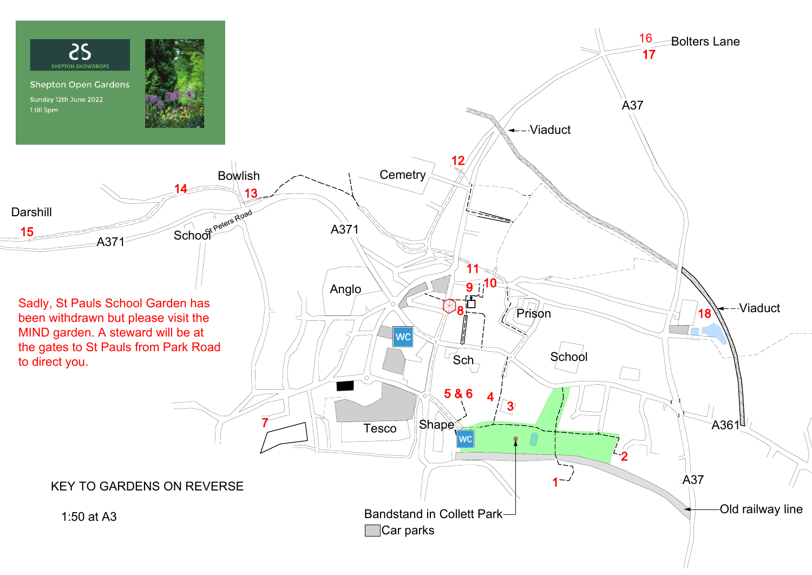